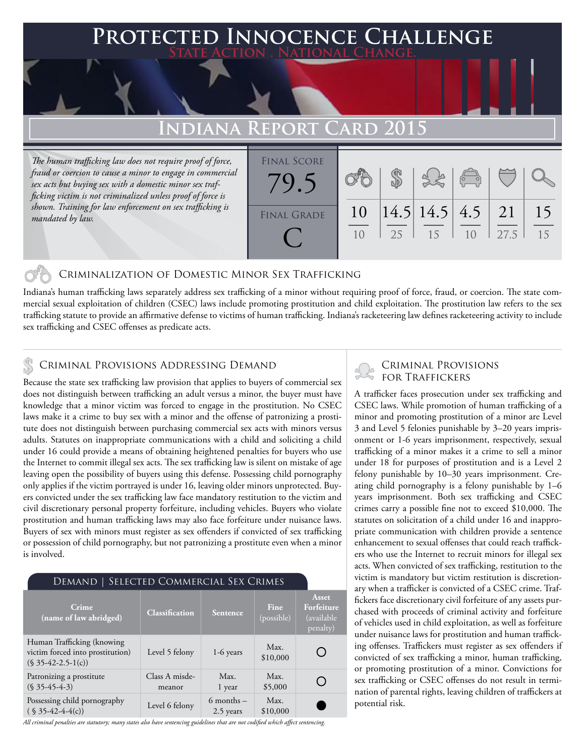# **FECTED INNOCENCE CHALLENGE State Action . National Change. Indiana Report Card 2015** *The human trafficking law does not require proof of force, fraud or coercion to cause a minor to engage in commercial*  Final Score

*sex acts but buying sex with a domestic minor sex trafficking victim is not criminalized unless proof of force is shown. Training for law enforcement on sex trafficking is mandated by law.*

### 10 10 25 \$ 14.5 15 14.5 10 4.5 27.5 21 FINAL GRADE 79.5 C

## Criminalization of Domestic Minor Sex Trafficking

Indiana's human trafficking laws separately address sex trafficking of a minor without requiring proof of force, fraud, or coercion. The state commercial sexual exploitation of children (CSEC) laws include promoting prostitution and child exploitation. The prostitution law refers to the sex trafficking statute to provide an affirmative defense to victims of human trafficking. Indiana's racketeering law defines racketeering activity to include sex trafficking and CSEC offenses as predicate acts.

## CRIMINAL PROVISIONS ADDRESSING DEMAND<br>Receives the state sex trafficking law provision that englise to buyer of commercial sex FOR TRAFFICKERS

Because the state sex trafficking law provision that applies to buyers of commercial sex does not distinguish between trafficking an adult versus a minor, the buyer must have knowledge that a minor victim was forced to engage in the prostitution. No CSEC laws make it a crime to buy sex with a minor and the offense of patronizing a prostitute does not distinguish between purchasing commercial sex acts with minors versus adults. Statutes on inappropriate communications with a child and soliciting a child under 16 could provide a means of obtaining heightened penalties for buyers who use the Internet to commit illegal sex acts. The sex trafficking law is silent on mistake of age leaving open the possibility of buyers using this defense. Possessing child pornography only applies if the victim portrayed is under 16, leaving older minors unprotected. Buyers convicted under the sex trafficking law face mandatory restitution to the victim and civil discretionary personal property forfeiture, including vehicles. Buyers who violate prostitution and human trafficking laws may also face forfeiture under nuisance laws. Buyers of sex with minors must register as sex offenders if convicted of sex trafficking or possession of child pornography, but not patronizing a prostitute even when a minor is involved.

| <b>DEMAND   SELECTED COMMERCIAL SEX CRIMES</b>                                           |                          |                             |                           |                                               |
|------------------------------------------------------------------------------------------|--------------------------|-----------------------------|---------------------------|-----------------------------------------------|
| Crime<br>(name of law abridged)                                                          | <b>Classification</b>    | <b>Sentence</b>             | <b>Fine</b><br>(possible) | Asset<br>Forfeiture<br>(available<br>penalty) |
| Human Trafficking (knowing<br>victim forced into prostitution)<br>$(S \ 35-42-2.5-1(c))$ | Level 5 felony           | $1-6$ years                 | Max.<br>\$10,000          |                                               |
| Patronizing a prostitute<br>$(S \, 35-45-4-3)$                                           | Class A misde-<br>meanor | Max.<br>1 year              | Max.<br>\$5,000           |                                               |
| Possessing child pornography<br>$(S \ 35-42-4-4(c))$                                     | Level 6 felony           | $6$ months $-$<br>2.5 years | Max.<br>\$10,000          |                                               |

*All criminal penalties are statutory; many states also have sentencing guidelines that are not codified which affect sentencing.* 

15

15

A trafficker faces prosecution under sex trafficking and CSEC laws. While promotion of human trafficking of a minor and promoting prostitution of a minor are Level 3 and Level 5 felonies punishable by 3–20 years imprisonment or 1-6 years imprisonment, respectively, sexual trafficking of a minor makes it a crime to sell a minor under 18 for purposes of prostitution and is a Level 2 felony punishable by 10–30 years imprisonment. Creating child pornography is a felony punishable by 1–6 years imprisonment. Both sex trafficking and CSEC crimes carry a possible fine not to exceed \$10,000. The statutes on solicitation of a child under 16 and inappropriate communication with children provide a sentence enhancement to sexual offenses that could reach traffickers who use the Internet to recruit minors for illegal sex acts. When convicted of sex trafficking, restitution to the victim is mandatory but victim restitution is discretionary when a trafficker is convicted of a CSEC crime. Traffickers face discretionary civil forfeiture of any assets purchased with proceeds of criminal activity and forfeiture of vehicles used in child exploitation, as well as forfeiture under nuisance laws for prostitution and human trafficking offenses. Traffickers must register as sex offenders if convicted of sex trafficking a minor, human trafficking, or promoting prostitution of a minor. Convictions for sex trafficking or CSEC offenses do not result in termination of parental rights, leaving children of traffickers at potential risk.